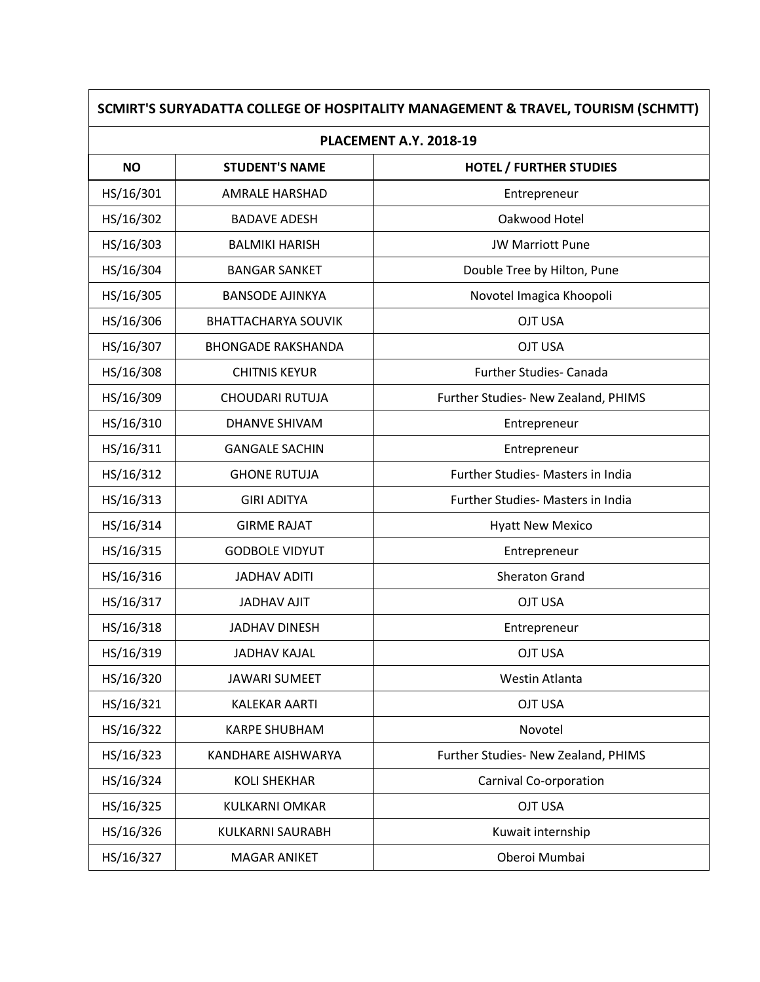| <b>PLACEMENT A.Y. 2018-19</b> |                            |                                     |  |
|-------------------------------|----------------------------|-------------------------------------|--|
| <b>NO</b>                     | <b>STUDENT'S NAME</b>      | <b>HOTEL / FURTHER STUDIES</b>      |  |
| HS/16/301                     | <b>AMRALE HARSHAD</b>      | Entrepreneur                        |  |
| HS/16/302                     | <b>BADAVE ADESH</b>        | Oakwood Hotel                       |  |
| HS/16/303                     | <b>BALMIKI HARISH</b>      | <b>JW Marriott Pune</b>             |  |
| HS/16/304                     | <b>BANGAR SANKET</b>       | Double Tree by Hilton, Pune         |  |
| HS/16/305                     | <b>BANSODE AJINKYA</b>     | Novotel Imagica Khoopoli            |  |
| HS/16/306                     | <b>BHATTACHARYA SOUVIK</b> | <b>OJT USA</b>                      |  |
| HS/16/307                     | <b>BHONGADE RAKSHANDA</b>  | <b>OJT USA</b>                      |  |
| HS/16/308                     | <b>CHITNIS KEYUR</b>       | Further Studies- Canada             |  |
| HS/16/309                     | CHOUDARI RUTUJA            | Further Studies- New Zealand, PHIMS |  |
| HS/16/310                     | <b>DHANVE SHIVAM</b>       | Entrepreneur                        |  |
| HS/16/311                     | <b>GANGALE SACHIN</b>      | Entrepreneur                        |  |
| HS/16/312                     | <b>GHONE RUTUJA</b>        | Further Studies- Masters in India   |  |
| HS/16/313                     | <b>GIRI ADITYA</b>         | Further Studies- Masters in India   |  |
| HS/16/314                     | <b>GIRME RAJAT</b>         | <b>Hyatt New Mexico</b>             |  |
| HS/16/315                     | <b>GODBOLE VIDYUT</b>      | Entrepreneur                        |  |
| HS/16/316                     | <b>JADHAV ADITI</b>        | <b>Sheraton Grand</b>               |  |
| HS/16/317                     | <b>JADHAV AJIT</b>         | <b>OJT USA</b>                      |  |
| HS/16/318                     | <b>JADHAV DINESH</b>       | Entrepreneur                        |  |
| HS/16/319                     | <b>JADHAV KAJAL</b>        | <b>OJT USA</b>                      |  |
| HS/16/320                     | <b>JAWARI SUMEET</b>       | Westin Atlanta                      |  |
| HS/16/321                     | <b>KALEKAR AARTI</b>       | <b>OJT USA</b>                      |  |
| HS/16/322                     | <b>KARPE SHUBHAM</b>       | Novotel                             |  |
| HS/16/323                     | <b>KANDHARE AISHWARYA</b>  | Further Studies- New Zealand, PHIMS |  |
| HS/16/324                     | <b>KOLI SHEKHAR</b>        | Carnival Co-orporation              |  |
| HS/16/325                     | KULKARNI OMKAR             | <b>OJT USA</b>                      |  |
| HS/16/326                     | KULKARNI SAURABH           | Kuwait internship                   |  |
| HS/16/327                     | MAGAR ANIKET               | Oberoi Mumbai                       |  |